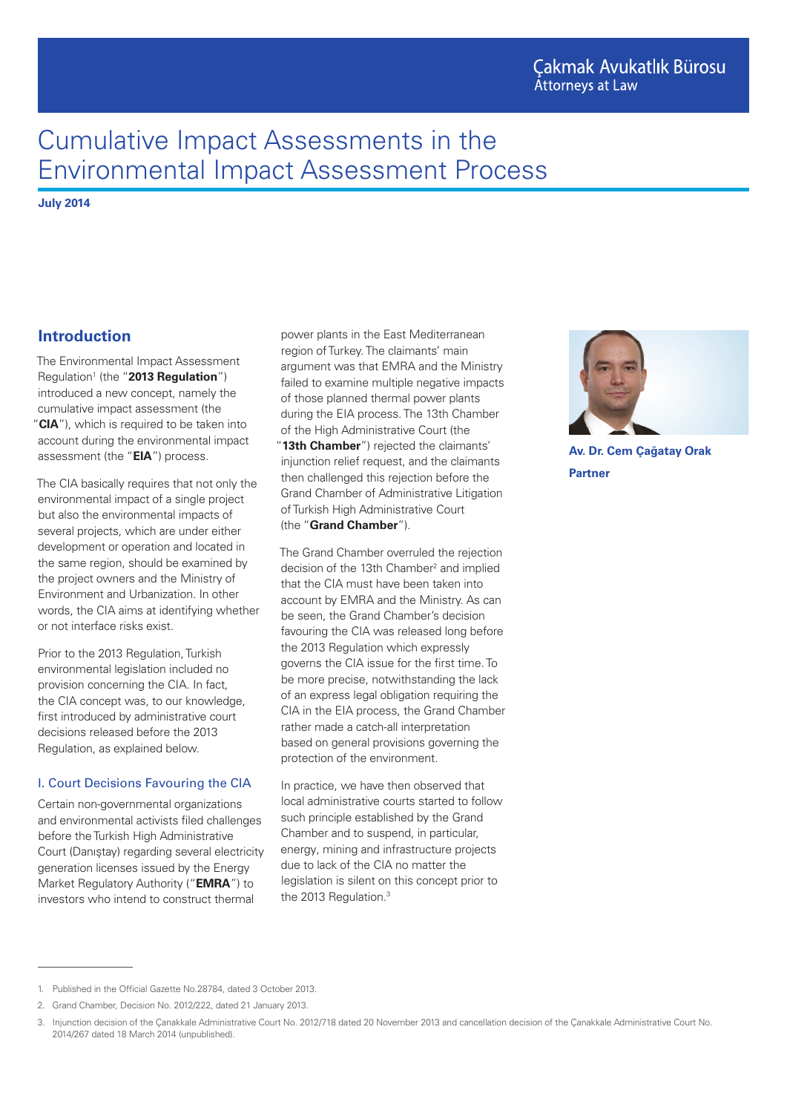# Cumulative Impact Assessments in the Environmental Impact Assessment Process

**July 2014**

## **Introduction**

The Environmental Impact Assessment Regulation<sup>1</sup> (the "2013 Regulation") introduced a new concept, namely the cumulative impact assessment (the "**CIA**"), which is required to be taken into account during the environmental impact assessment (the "**EIA**") process.

The CIA basically requires that not only the environmental impact of a single project but also the environmental impacts of several projects, which are under either development or operation and located in the same region, should be examined by the project owners and the Ministry of Environment and Urbanization. In other words, the CIA aims at identifying whether or not interface risks exist.

Prior to the 2013 Regulation, Turkish environmental legislation included no provision concerning the CIA. In fact, the CIA concept was, to our knowledge, first introduced by administrative court decisions released before the 2013 Regulation, as explained below.

## I. Court Decisions Favouring the CIA

Certain non-governmental organizations and environmental activists filed challenges before the Turkish High Administrative Court (Danıştay) regarding several electricity generation licenses issued by the Energy Market Regulatory Authority ("**EMRA**") to investors who intend to construct thermal

power plants in the East Mediterranean region of Turkey. The claimants' main argument was that EMRA and the Ministry failed to examine multiple negative impacts of those planned thermal power plants during the EIA process. The 13th Chamber of the High Administrative Court (the "**13th Chamber**") rejected the claimants' injunction relief request, and the claimants then challenged this rejection before the Grand Chamber of Administrative Litigation of Turkish High Administrative Court (the "**Grand Chamber**").

The Grand Chamber overruled the rejection decision of the 13th Chamber<sup>2</sup> and implied that the CIA must have been taken into account by EMRA and the Ministry. As can be seen, the Grand Chamber's decision favouring the CIA was released long before the 2013 Regulation which expressly governs the CIA issue for the first time. To be more precise, notwithstanding the lack of an express legal obligation requiring the CIA in the EIA process, the Grand Chamber rather made a catch-all interpretation based on general provisions governing the protection of the environment.

In practice, we have then observed that local administrative courts started to follow such principle established by the Grand Chamber and to suspend, in particular, energy, mining and infrastructure projects due to lack of the CIA no matter the legislation is silent on this concept prior to the 2013 Regulation.<sup>3</sup>



**Av. Dr. Cem Çağatay Orak Partner**

<sup>1.</sup> Published in the Official Gazette No.28784, dated 3 October 2013.

<sup>2.</sup> Grand Chamber, Decision No. 2012/222, dated 21 January 2013.

<sup>3.</sup> Injunction decision of the Çanakkale Administrative Court No. 2012/718 dated 20 November 2013 and cancellation decision of the Çanakkale Administrative Court No. 2014/267 dated 18 March 2014 (unpublished).